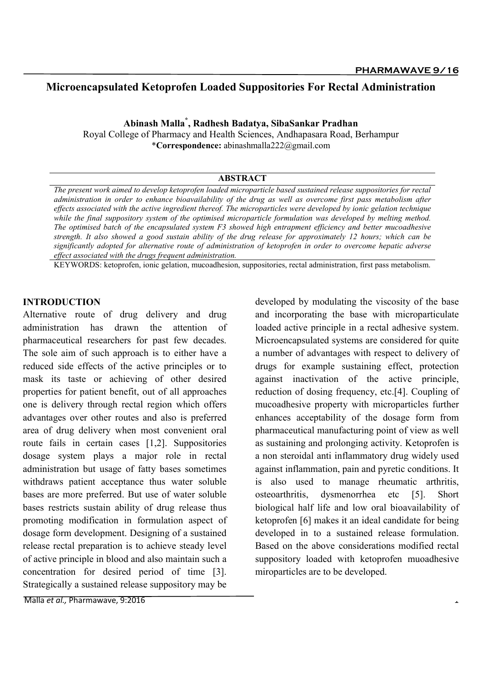# Microencapsulated Ketoprofen Loaded Suppositories For Rectal Administration

# Abinash Malla\* , Radhesh Badatya, SibaSankar Pradhan

Royal College of Pharmacy and Health Sciences, Andhapasara Road, Berhampur \*Correspondence: abinashmalla222@gmail.com

#### ABSTRACT

The present work aimed to develop ketoprofen loaded microparticle based sustained release suppositories for rectal administration in order to enhance bioavailability of the drug as well as overcome first pass metabolism after effects associated with the active ingredient thereof. The microparticles were developed by ionic gelation technique while the final suppository system of the optimised microparticle formulation was developed by melting method. The optimised batch of the encapsulated system F3 showed high entrapment efficiency and better mucoadhesive strength. It also showed a good sustain ability of the drug release for approximately 12 hours; which can be significantly adopted for alternative route of administration of ketoprofen in order to overcome hepatic adverse effect associated with the drugs frequent administration.

KEYWORDS: ketoprofen, ionic gelation, mucoadhesion, suppositories, rectal administration, first pass metabolism.

#### INTRODUCTION

Alternative route of drug delivery and drug administration has drawn the attention of pharmaceutical researchers for past few decades. The sole aim of such approach is to either have a reduced side effects of the active principles or to mask its taste or achieving of other desired properties for patient benefit, out of all approaches one is delivery through rectal region which offers advantages over other routes and also is preferred area of drug delivery when most convenient oral route fails in certain cases [1,2]. Suppositories dosage system plays a major role in rectal administration but usage of fatty bases sometimes withdraws patient acceptance thus water soluble bases are more preferred. But use of water soluble bases restricts sustain ability of drug release thus promoting modification in formulation aspect of dosage form development. Designing of a sustained release rectal preparation is to achieve steady level of active principle in blood and also maintain such a concentration for desired period of time [3]. Strategically a sustained release suppository may be

developed by modulating the viscosity of the base and incorporating the base with microparticulate loaded active principle in a rectal adhesive system. Microencapsulated systems are considered for quite a number of advantages with respect to delivery of drugs for example sustaining effect, protection against inactivation of the active principle, reduction of dosing frequency, etc.[4]. Coupling of mucoadhesive property with microparticles further enhances acceptability of the dosage form from pharmaceutical manufacturing point of view as well as sustaining and prolonging activity. Ketoprofen is a non steroidal anti inflammatory drug widely used against inflammation, pain and pyretic conditions. It is also used to manage rheumatic arthritis, osteoarthritis, dysmenorrhea etc [5]. Short biological half life and low oral bioavailability of ketoprofen [6] makes it an ideal candidate for being developed in to a sustained release formulation. Based on the above considerations modified rectal suppository loaded with ketoprofen muoadhesive miroparticles are to be developed.

Malla et al., Pharmawave, 9:2016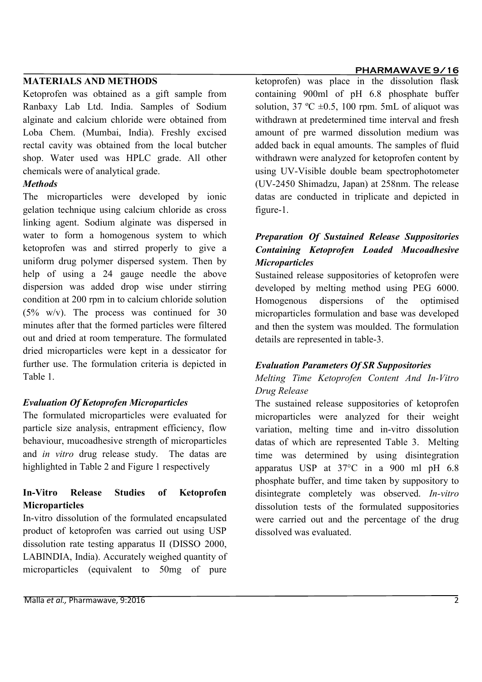### MATERIALS AND METHODS

Ketoprofen was obtained as a gift sample from Ranbaxy Lab Ltd. India. Samples of Sodium alginate and calcium chloride were obtained from Loba Chem. (Mumbai, India). Freshly excised rectal cavity was obtained from the local butcher shop. Water used was HPLC grade. All other chemicals were of analytical grade.

## **Methods**

The microparticles were developed by ionic gelation technique using calcium chloride as cross linking agent. Sodium alginate was dispersed in water to form a homogenous system to which ketoprofen was and stirred properly to give a uniform drug polymer dispersed system. Then by help of using a 24 gauge needle the above dispersion was added drop wise under stirring condition at 200 rpm in to calcium chloride solution (5% w/v). The process was continued for 30 minutes after that the formed particles were filtered out and dried at room temperature. The formulated dried microparticles were kept in a dessicator for further use. The formulation criteria is depicted in Table 1.

# Evaluation Of Ketoprofen Microparticles

The formulated microparticles were evaluated for particle size analysis, entrapment efficiency, flow behaviour, mucoadhesive strength of microparticles and in vitro drug release study. The datas are highlighted in Table 2 and Figure 1 respectively

# In-Vitro Release Studies of Ketoprofen **Microparticles**

In-vitro dissolution of the formulated encapsulated product of ketoprofen was carried out using USP dissolution rate testing apparatus II (DISSO 2000, LABINDIA, India). Accurately weighed quantity of microparticles (equivalent to 50mg of pure

# ketoprofen) was place in the dissolution flask containing 900ml of pH 6.8 phosphate buffer solution, 37 °C  $\pm$ 0.5, 100 rpm. 5mL of aliquot was withdrawn at predetermined time interval and fresh amount of pre warmed dissolution medium was added back in equal amounts. The samples of fluid withdrawn were analyzed for ketoprofen content by using UV-Visible double beam spectrophotometer (UV-2450 Shimadzu, Japan) at 258nm. The release datas are conducted in triplicate and depicted in figure-1.

# Preparation Of Sustained Release Suppositories Containing Ketoprofen Loaded Mucoadhesive **Microparticles**

Sustained release suppositories of ketoprofen were developed by melting method using PEG 6000. Homogenous dispersions of the optimised microparticles formulation and base was developed and then the system was moulded. The formulation details are represented in table-3.

# Evaluation Parameters Of SR Suppositories

Melting Time Ketoprofen Content And In-Vitro Drug Release

The sustained release suppositories of ketoprofen microparticles were analyzed for their weight variation, melting time and in-vitro dissolution datas of which are represented Table 3. Melting time was determined by using disintegration apparatus USP at 37°C in a 900 ml pH 6.8 phosphate buffer, and time taken by suppository to disintegrate completely was observed. In-vitro dissolution tests of the formulated suppositories were carried out and the percentage of the drug dissolved was evaluated.

## PHARMAWAVE 9/16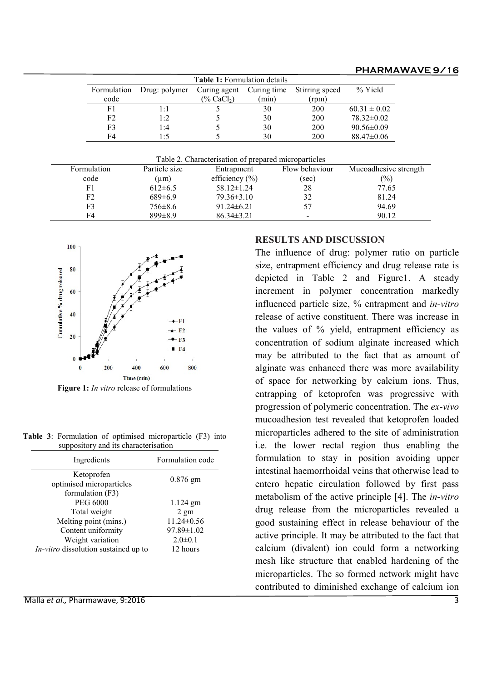#### PHARMAWAVE 9/16

| <b>Table 1:</b> Formulation details |               |                           |       |                |                  |  |  |  |
|-------------------------------------|---------------|---------------------------|-------|----------------|------------------|--|--|--|
| Formulation                         | Drug: polymer | Curing agent Curing time  |       | Stirring speed | % Yield          |  |  |  |
| code                                |               | $(\%$ CaCl <sub>2</sub> ) | (min) | (rpm)          |                  |  |  |  |
| F1                                  | 1:1           |                           | 30    | 200            | $60.31 \pm 0.02$ |  |  |  |
| F2.                                 | 1:2           |                           | 30    | 200            | 78.32±0.02       |  |  |  |
| F3                                  | 1:4           |                           | 30    | 200            | $90.56 \pm 0.09$ |  |  |  |
| F4                                  | 1:5           |                           | 30    | 200            | $88.47 \pm 0.06$ |  |  |  |

|                | Table 2. Characterisation of prepared microparticles |                    |                |                       |  |  |  |
|----------------|------------------------------------------------------|--------------------|----------------|-----------------------|--|--|--|
| Formulation    | Particle size                                        | Entrapment         | Flow behaviour | Mucoadhesive strength |  |  |  |
| code           | (µm)                                                 | efficiency $(\% )$ | (sec)          | $\frac{1}{2}$         |  |  |  |
|                | $612 \pm 6.5$                                        | $58.12 \pm 1.24$   | 28             | 77.65                 |  |  |  |
| F <sub>2</sub> | $689 \pm 6.9$                                        | $79.36 \pm 3.10$   | 32             | 81.24                 |  |  |  |
| F3             | 756±8.6                                              | $91.24 \pm 6.21$   | 57             | 94.69                 |  |  |  |
| F4             | $899 \pm 8.9$                                        | $86.34 \pm 3.21$   | $\,$           | 90.12                 |  |  |  |



Figure 1: *In vitro* release of formulations

Table 3: Formulation of optimised microparticle (F3) into suppository and its characterisation

| Ingredients                            | Formulation code |  |
|----------------------------------------|------------------|--|
| Ketoprofen<br>optimised microparticles | $0.876$ gm       |  |
| formulation (F3)<br><b>PEG 6000</b>    | $1.124$ gm       |  |
| Total weight                           | $2 \text{ gm}$   |  |
| Melting point (mins.)                  | $11.24 \pm 0.56$ |  |
| Content uniformity                     | $97.89 \pm 1.02$ |  |
| Weight variation                       | $2.0 \pm 0.1$    |  |
| In-vitro dissolution sustained up to   | 12 hours         |  |

#### Malla et al., Pharmawave, 9:2016 3

### RESULTS AND DISCUSSION

The influence of drug: polymer ratio on particle size, entrapment efficiency and drug release rate is depicted in Table 2 and Figure1. A steady increment in polymer concentration markedly influenced particle size, % entrapment and in-vitro release of active constituent. There was increase in the values of % yield, entrapment efficiency as concentration of sodium alginate increased which may be attributed to the fact that as amount of alginate was enhanced there was more availability of space for networking by calcium ions. Thus, entrapping of ketoprofen was progressive with progression of polymeric concentration. The ex-vivo mucoadhesion test revealed that ketoprofen loaded microparticles adhered to the site of administration i.e. the lower rectal region thus enabling the formulation to stay in position avoiding upper intestinal haemorrhoidal veins that otherwise lead to entero hepatic circulation followed by first pass metabolism of the active principle [4]. The in-vitro drug release from the microparticles revealed a good sustaining effect in release behaviour of the active principle. It may be attributed to the fact that calcium (divalent) ion could form a networking mesh like structure that enabled hardening of the microparticles. The so formed network might have contributed to diminished exchange of calcium ion